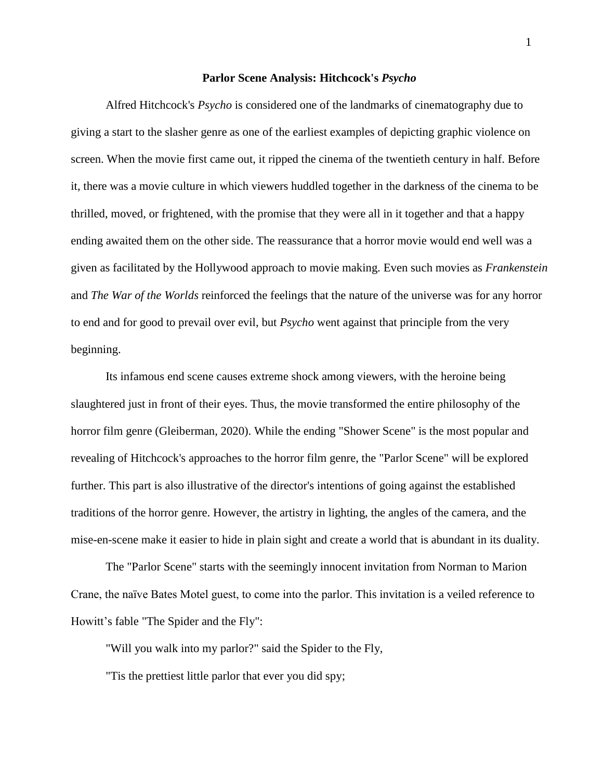## **Parlor Scene Analysis: Hitchcock's** *Psycho*

Alfred Hitchcock's *Psycho* is considered one of the landmarks of cinematography due to giving a start to the slasher genre as one of the earliest examples of depicting graphic violence on screen. When the movie first came out, it ripped the cinema of the twentieth century in half. Before it, there was a movie culture in which viewers huddled together in the darkness of the cinema to be thrilled, moved, or frightened, with the promise that they were all in it together and that a happy ending awaited them on the other side. The reassurance that a horror movie would end well was a given as facilitated by the Hollywood approach to movie making. Even such movies as *Frankenstein*  and *The War of the Worlds* reinforced the feelings that the nature of the universe was for any horror to end and for good to prevail over evil, but *Psycho* went against that principle from the very beginning.

Its infamous end scene causes extreme shock among viewers, with the heroine being slaughtered just in front of their eyes. Thus, the movie transformed the entire philosophy of the horror film genre (Gleiberman, 2020). While the ending "Shower Scene" is the most popular and revealing of Hitchcock's approaches to the horror film genre, the "Parlor Scene" will be explored further. This part is also illustrative of the director's intentions of going against the established traditions of the horror genre. However, the artistry in lighting, the angles of the camera, and the mise-en-scene make it easier to hide in plain sight and create a world that is abundant in its duality.

The "Parlor Scene" starts with the seemingly innocent invitation from Norman to Marion Crane, the naïve Bates Motel guest, to come into the parlor. This invitation is a veiled reference to Howitt's fable "The Spider and the Fly":

"Will you walk into my parlor?" said the Spider to the Fly,

"Tis the prettiest little parlor that ever you did spy;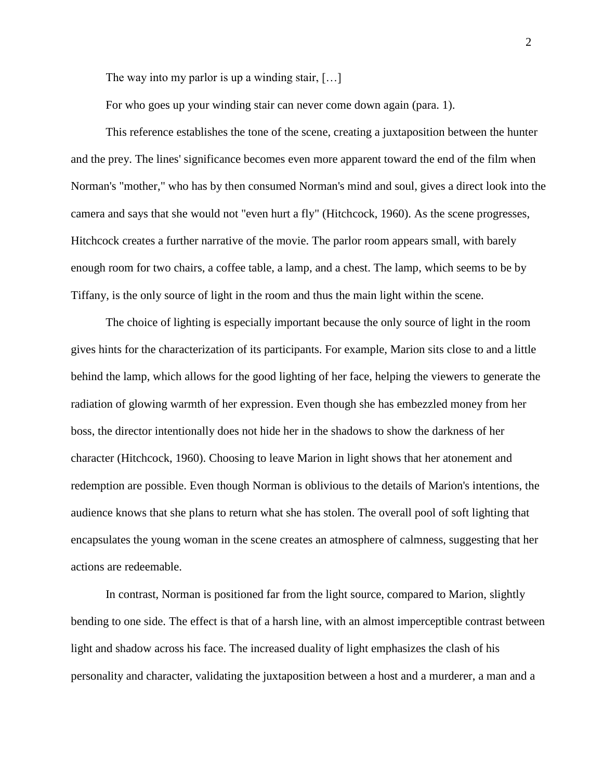The way into my parlor is up a winding stair, [...]

For who goes up your winding stair can never come down again (para. 1).

This reference establishes the tone of the scene, creating a juxtaposition between the hunter and the prey. The lines' significance becomes even more apparent toward the end of the film when Norman's "mother," who has by then consumed Norman's mind and soul, gives a direct look into the camera and says that she would not "even hurt a fly" (Hitchcock, 1960). As the scene progresses, Hitchcock creates a further narrative of the movie. The parlor room appears small, with barely enough room for two chairs, a coffee table, a lamp, and a chest. The lamp, which seems to be by Tiffany, is the only source of light in the room and thus the main light within the scene.

The choice of lighting is especially important because the only source of light in the room gives hints for the characterization of its participants. For example, Marion sits close to and a little behind the lamp, which allows for the good lighting of her face, helping the viewers to generate the radiation of glowing warmth of her expression. Even though she has embezzled money from her boss, the director intentionally does not hide her in the shadows to show the darkness of her character (Hitchcock, 1960). Choosing to leave Marion in light shows that her atonement and redemption are possible. Even though Norman is oblivious to the details of Marion's intentions, the audience knows that she plans to return what she has stolen. The overall pool of soft lighting that encapsulates the young woman in the scene creates an atmosphere of calmness, suggesting that her actions are redeemable.

In contrast, Norman is positioned far from the light source, compared to Marion, slightly bending to one side. The effect is that of a harsh line, with an almost imperceptible contrast between light and shadow across his face. The increased duality of light emphasizes the clash of his personality and character, validating the juxtaposition between a host and a murderer, a man and a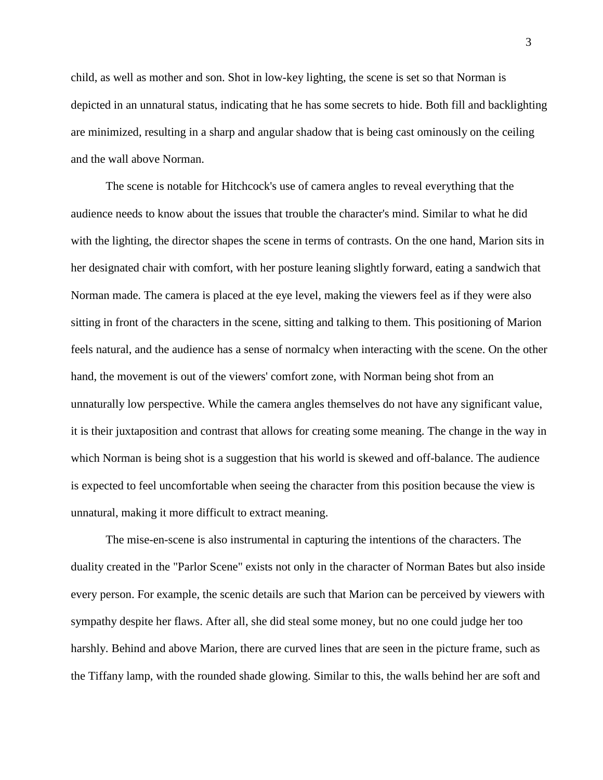child, as well as mother and son. Shot in low-key lighting, the scene is set so that Norman is depicted in an unnatural status, indicating that he has some secrets to hide. Both fill and backlighting are minimized, resulting in a sharp and angular shadow that is being cast ominously on the ceiling and the wall above Norman.

The scene is notable for Hitchcock's use of camera angles to reveal everything that the audience needs to know about the issues that trouble the character's mind. Similar to what he did with the lighting, the director shapes the scene in terms of contrasts. On the one hand, Marion sits in her designated chair with comfort, with her posture leaning slightly forward, eating a sandwich that Norman made. The camera is placed at the eye level, making the viewers feel as if they were also sitting in front of the characters in the scene, sitting and talking to them. This positioning of Marion feels natural, and the audience has a sense of normalcy when interacting with the scene. On the other hand, the movement is out of the viewers' comfort zone, with Norman being shot from an unnaturally low perspective. While the camera angles themselves do not have any significant value, it is their juxtaposition and contrast that allows for creating some meaning. The change in the way in which Norman is being shot is a suggestion that his world is skewed and off-balance. The audience is expected to feel uncomfortable when seeing the character from this position because the view is unnatural, making it more difficult to extract meaning.

The mise-en-scene is also instrumental in capturing the intentions of the characters. The duality created in the "Parlor Scene" exists not only in the character of Norman Bates but also inside every person. For example, the scenic details are such that Marion can be perceived by viewers with sympathy despite her flaws. After all, she did steal some money, but no one could judge her too harshly. Behind and above Marion, there are curved lines that are seen in the picture frame, such as the Tiffany lamp, with the rounded shade glowing. Similar to this, the walls behind her are soft and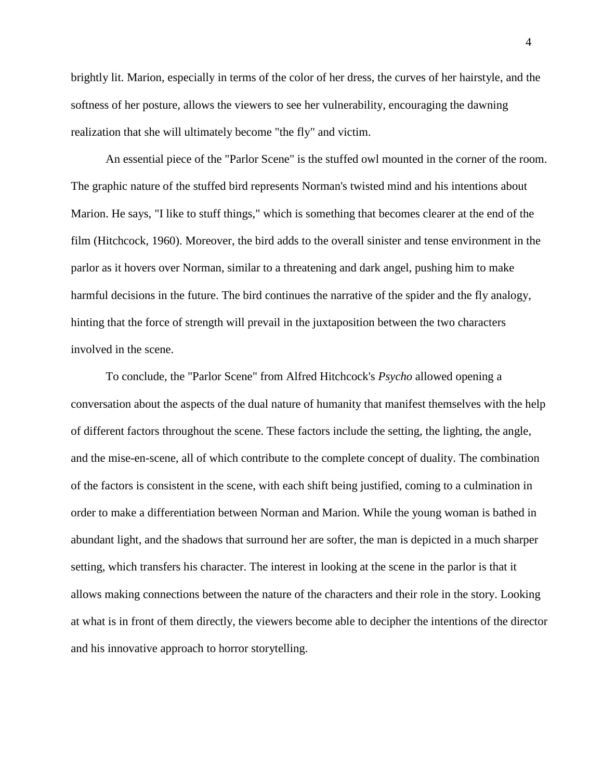brightly lit. Marion, especially in terms of the color of her dress, the curves of her hairstyle, and the softness of her posture, allows the viewers to see her vulnerability, encouraging the dawning realization that she will ultimately become "the fly" and victim.

An essential piece of the "Parlor Scene" is the stuffed owl mounted in the corner of the room. The graphic nature of the stuffed bird represents Norman's twisted mind and his intentions about Marion. He says, "I like to stuff things," which is something that becomes clearer at the end of the film (Hitchcock, 1960). Moreover, the bird adds to the overall sinister and tense environment in the parlor as it hovers over Norman, similar to a threatening and dark angel, pushing him to make harmful decisions in the future. The bird continues the narrative of the spider and the fly analogy, hinting that the force of strength will prevail in the juxtaposition between the two characters involved in the scene.

To conclude, the "Parlor Scene" from Alfred Hitchcock's *Psycho* allowed opening a conversation about the aspects of the dual nature of humanity that manifest themselves with the help of different factors throughout the scene. These factors include the setting, the lighting, the angle, and the mise-en-scene, all of which contribute to the complete concept of duality. The combination of the factors is consistent in the scene, with each shift being justified, coming to a culmination in order to make a differentiation between Norman and Marion. While the young woman is bathed in abundant light, and the shadows that surround her are softer, the man is depicted in a much sharper setting, which transfers his character. The interest in looking at the scene in the parlor is that it allows making connections between the nature of the characters and their role in the story. Looking at what is in front of them directly, the viewers become able to decipher the intentions of the director and his innovative approach to horror storytelling.